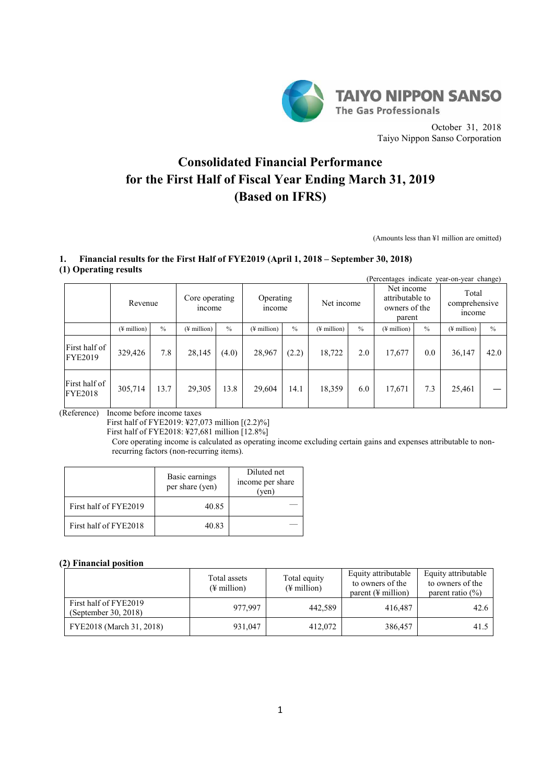

October 31, 2018 Taiyo Nippon Sanso Corporation

# **Consolidated Financial Performance for the First Half of Fiscal Year Ending March 31, 2019 (Based on IFRS)**

(Amounts less than ¥1 million are omitted)

### **1. Financial results for the First Half of FYE2019 (April 1, 2018 – September 30, 2018) (1) Operating results**

| $\sqrt{2}$                      | $\overline{\phantom{a}}$<br>(Percentages indicate year-on-year change) |      |                          |               |                          |                                                                                               |                              |               |                         |               |                         |                                        |
|---------------------------------|------------------------------------------------------------------------|------|--------------------------|---------------|--------------------------|-----------------------------------------------------------------------------------------------|------------------------------|---------------|-------------------------|---------------|-------------------------|----------------------------------------|
|                                 | Revenue                                                                |      | Core operating<br>income |               |                          | Net income<br>attributable to<br>Operating<br>Net income<br>owners of the<br>income<br>parent |                              |               |                         |               |                         | Total<br>comprehensive<br><i>ncome</i> |
|                                 | $(\frac{1}{2})$ million                                                | $\%$ | $(\frac{1}{2})$ million  | $\frac{0}{0}$ | $(\frac{1}{2})$ million) | $\frac{0}{0}$                                                                                 | $($ <del>¥</del> million $)$ | $\frac{0}{0}$ | $(\frac{1}{2}$ million) | $\frac{0}{0}$ | $(\frac{1}{2})$ million | $\frac{0}{0}$                          |
| First half of<br><b>FYE2019</b> | 329,426                                                                | 7.8  | 28,145                   | (4.0)         | 28,967                   | (2.2)                                                                                         | 18,722                       | 2.0           | 17,677                  | 0.0           | 36,147                  | 42.0                                   |
| First half of<br><b>FYE2018</b> | 305,714                                                                | 13.7 | 29,305                   | 13.8          | 29,604                   | 14.1                                                                                          | 18,359                       | 6.0           | 17,671                  | 7.3           | 25,461                  |                                        |

(Reference) Income before income taxes

First half of FYE2019: ¥27,073 million [(2.2)%]

First half of FYE2018: ¥27,681 million [12.8%]

Core operating income is calculated as operating income excluding certain gains and expenses attributable to nonrecurring factors (non-recurring items).

|                       | Basic earnings<br>per share (yen) | Diluted net<br>income per share<br>'ven |
|-----------------------|-----------------------------------|-----------------------------------------|
| First half of FYE2019 | 40.85                             |                                         |
| First half of FYE2018 | 40.83                             |                                         |

### **(2) Financial position**

|                                               | Total assets<br>$(\frac{1}{2})$ million | Total equity<br>$(\frac{1}{2}$ million) | Equity attributable<br>to owners of the<br>parent $(\frac{1}{2})$ million | Equity attributable<br>to owners of the<br>parent ratio $(\% )$ |
|-----------------------------------------------|-----------------------------------------|-----------------------------------------|---------------------------------------------------------------------------|-----------------------------------------------------------------|
| First half of FYE2019<br>(September 30, 2018) | 977.997                                 | 442.589                                 | 416.487                                                                   | 42.6                                                            |
| FYE2018 (March 31, 2018)                      | 931,047                                 | 412,072                                 | 386,457                                                                   | 41.5                                                            |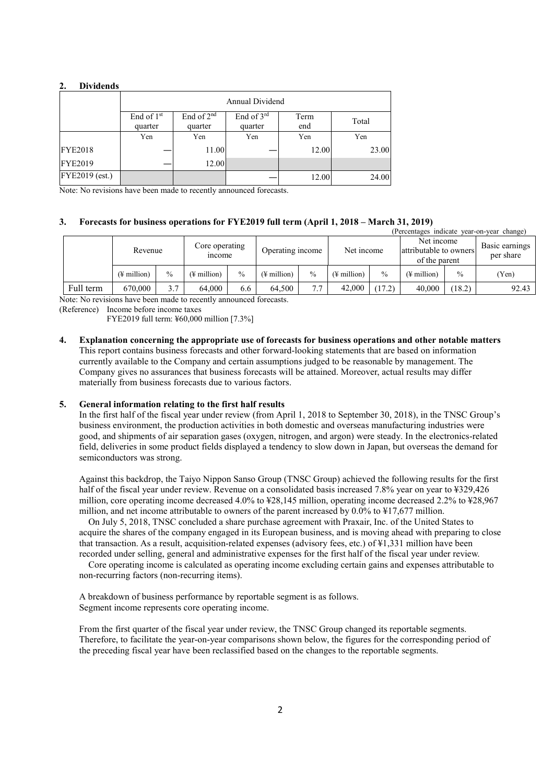#### **2. Dividends**

|                |                                   | Annual Dividend         |                       |             |       |  |  |  |  |
|----------------|-----------------------------------|-------------------------|-----------------------|-------------|-------|--|--|--|--|
|                | End of 1 <sup>st</sup><br>quarter | End of $2nd$<br>quarter | End of 3rd<br>quarter | Term<br>end | Total |  |  |  |  |
|                | Yen                               | Yen                     | Yen                   | Yen         | Yen   |  |  |  |  |
| <b>FYE2018</b> |                                   | 11.00                   |                       | 12.00       | 23.00 |  |  |  |  |
| <b>FYE2019</b> |                                   | 12.00                   |                       |             |       |  |  |  |  |
| FYE2019 (est.) |                                   |                         |                       | 12.00       | 24.00 |  |  |  |  |

Note: No revisions have been made to recently announced forecasts.

#### **3. Forecasts for business operations for FYE2019 full term (April 1, 2018 – March 31, 2019)**

| (Percentages indicate year-on-year change) |                         |               |                          |               |                         |      |                         |               |                                                       |               |                             |
|--------------------------------------------|-------------------------|---------------|--------------------------|---------------|-------------------------|------|-------------------------|---------------|-------------------------------------------------------|---------------|-----------------------------|
|                                            | Revenue                 |               | Core operating<br>income |               | Operating income        |      | Net income              |               | Net income<br>attributable to owners<br>of the parent |               | Basic earnings<br>per share |
|                                            | $(\frac{1}{2})$ million | $\frac{0}{0}$ | (¥ million)              | $\frac{0}{0}$ | $(\frac{1}{2})$ million | $\%$ | $(\frac{1}{2})$ million | $\frac{0}{0}$ | (¥ million)                                           | $\frac{0}{0}$ | (Yen)                       |
| Full term                                  | 670.000                 | 3.7           | 64.000                   | 6.6           | 64.500                  | 7.7  | 42,000                  | (17.2)        | 40,000                                                | (18.2)        | 92.43                       |

Note: No revisions have been made to recently announced forecasts.

(Reference) Income before income taxes

FYE2019 full term: ¥60,000 million [7.3%]

**4. Explanation concerning the appropriate use of forecasts for business operations and other notable matters** This report contains business forecasts and other forward-looking statements that are based on information currently available to the Company and certain assumptions judged to be reasonable by management. The Company gives no assurances that business forecasts will be attained. Moreover, actual results may differ materially from business forecasts due to various factors.

#### **5. General information relating to the first half results**

In the first half of the fiscal year under review (from April 1, 2018 to September 30, 2018), in the TNSC Group's business environment, the production activities in both domestic and overseas manufacturing industries were good, and shipments of air separation gases (oxygen, nitrogen, and argon) were steady. In the electronics-related field, deliveries in some product fields displayed a tendency to slow down in Japan, but overseas the demand for semiconductors was strong.

Against this backdrop, the Taiyo Nippon Sanso Group (TNSC Group) achieved the following results for the first half of the fiscal year under review. Revenue on a consolidated basis increased 7.8% year on year to ¥329,426 million, core operating income decreased 4.0% to ¥28,145 million, operating income decreased 2.2% to ¥28,967 million, and net income attributable to owners of the parent increased by 0.0% to ¥17,677 million.

On July 5, 2018, TNSC concluded a share purchase agreement with Praxair, Inc. of the United States to acquire the shares of the company engaged in its European business, and is moving ahead with preparing to close that transaction. As a result, acquisition-related expenses (advisory fees, etc.) of ¥1,331 million have been recorded under selling, general and administrative expenses for the first half of the fiscal year under review.

Core operating income is calculated as operating income excluding certain gains and expenses attributable to non-recurring factors (non-recurring items).

A breakdown of business performance by reportable segment is as follows. Segment income represents core operating income.

From the first quarter of the fiscal year under review, the TNSC Group changed its reportable segments. Therefore, to facilitate the year-on-year comparisons shown below, the figures for the corresponding period of the preceding fiscal year have been reclassified based on the changes to the reportable segments.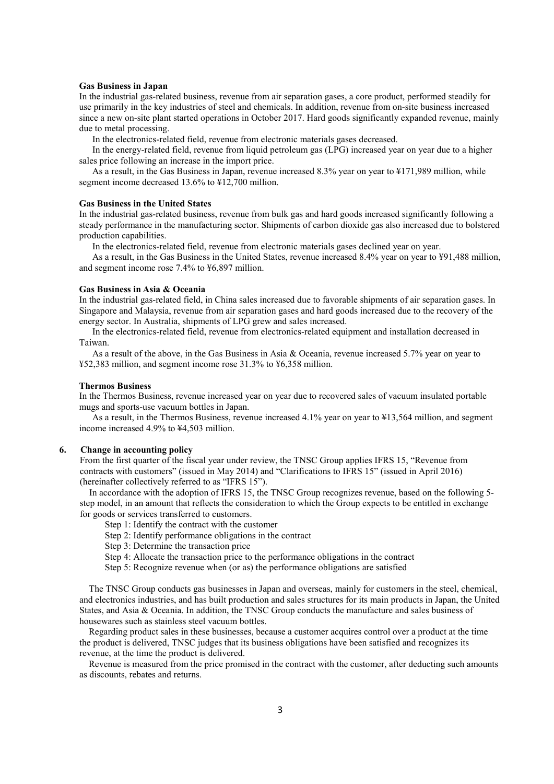#### **Gas Business in Japan**

In the industrial gas-related business, revenue from air separation gases, a core product, performed steadily for use primarily in the key industries of steel and chemicals. In addition, revenue from on-site business increased since a new on-site plant started operations in October 2017. Hard goods significantly expanded revenue, mainly due to metal processing.

In the electronics-related field, revenue from electronic materials gases decreased.

In the energy-related field, revenue from liquid petroleum gas (LPG) increased year on year due to a higher sales price following an increase in the import price.

As a result, in the Gas Business in Japan, revenue increased 8.3% year on year to ¥171,989 million, while segment income decreased 13.6% to ¥12,700 million.

#### **Gas Business in the United States**

In the industrial gas-related business, revenue from bulk gas and hard goods increased significantly following a steady performance in the manufacturing sector. Shipments of carbon dioxide gas also increased due to bolstered production capabilities.

In the electronics-related field, revenue from electronic materials gases declined year on year.

As a result, in the Gas Business in the United States, revenue increased 8.4% year on year to ¥91,488 million, and segment income rose 7.4% to ¥6,897 million.

#### **Gas Business in Asia & Oceania**

In the industrial gas-related field, in China sales increased due to favorable shipments of air separation gases. In Singapore and Malaysia, revenue from air separation gases and hard goods increased due to the recovery of the energy sector. In Australia, shipments of LPG grew and sales increased.

In the electronics-related field, revenue from electronics-related equipment and installation decreased in Taiwan.

As a result of the above, in the Gas Business in Asia & Oceania, revenue increased 5.7% year on year to ¥52,383 million, and segment income rose 31.3% to ¥6,358 million.

#### **Thermos Business**

In the Thermos Business, revenue increased year on year due to recovered sales of vacuum insulated portable mugs and sports-use vacuum bottles in Japan.

As a result, in the Thermos Business, revenue increased 4.1% year on year to ¥13,564 million, and segment income increased 4.9% to ¥4,503 million.

#### **6. Change in accounting policy**

From the first quarter of the fiscal year under review, the TNSC Group applies IFRS 15, "Revenue from contracts with customers" (issued in May 2014) and "Clarifications to IFRS 15" (issued in April 2016) (hereinafter collectively referred to as "IFRS 15").

In accordance with the adoption of IFRS 15, the TNSC Group recognizes revenue, based on the following 5 step model, in an amount that reflects the consideration to which the Group expects to be entitled in exchange for goods or services transferred to customers.

Step 1: Identify the contract with the customer

Step 2: Identify performance obligations in the contract

Step 3: Determine the transaction price

Step 4: Allocate the transaction price to the performance obligations in the contract

Step 5: Recognize revenue when (or as) the performance obligations are satisfied

The TNSC Group conducts gas businesses in Japan and overseas, mainly for customers in the steel, chemical, and electronics industries, and has built production and sales structures for its main products in Japan, the United States, and Asia & Oceania. In addition, the TNSC Group conducts the manufacture and sales business of housewares such as stainless steel vacuum bottles.

Regarding product sales in these businesses, because a customer acquires control over a product at the time the product is delivered, TNSC judges that its business obligations have been satisfied and recognizes its revenue, at the time the product is delivered.

Revenue is measured from the price promised in the contract with the customer, after deducting such amounts as discounts, rebates and returns.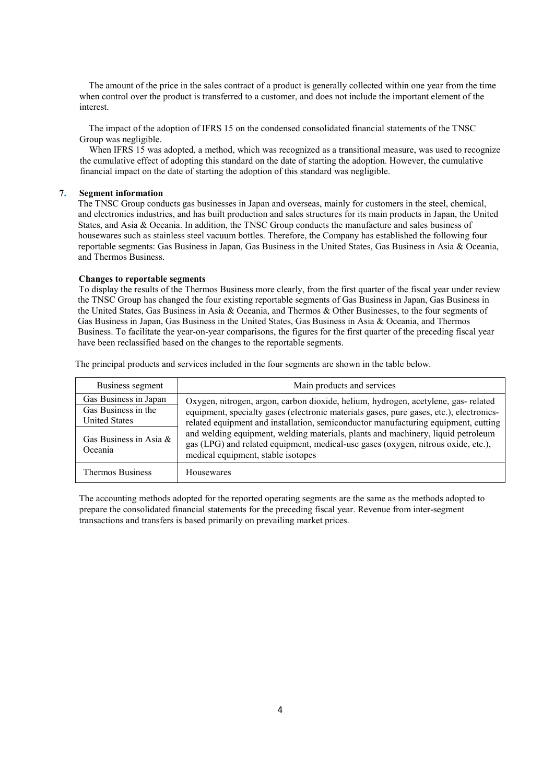The amount of the price in the sales contract of a product is generally collected within one year from the time when control over the product is transferred to a customer, and does not include the important element of the interest.

The impact of the adoption of IFRS 15 on the condensed consolidated financial statements of the TNSC Group was negligible.

When IFRS 15 was adopted, a method, which was recognized as a transitional measure, was used to recognize the cumulative effect of adopting this standard on the date of starting the adoption. However, the cumulative financial impact on the date of starting the adoption of this standard was negligible.

#### **7. Segment information**

The TNSC Group conducts gas businesses in Japan and overseas, mainly for customers in the steel, chemical, and electronics industries, and has built production and sales structures for its main products in Japan, the United States, and Asia & Oceania. In addition, the TNSC Group conducts the manufacture and sales business of housewares such as stainless steel vacuum bottles. Therefore, the Company has established the following four reportable segments: Gas Business in Japan, Gas Business in the United States, Gas Business in Asia & Oceania, and Thermos Business.

#### **Changes to reportable segments**

To display the results of the Thermos Business more clearly, from the first quarter of the fiscal year under review the TNSC Group has changed the four existing reportable segments of Gas Business in Japan, Gas Business in the United States, Gas Business in Asia & Oceania, and Thermos & Other Businesses, to the four segments of Gas Business in Japan, Gas Business in the United States, Gas Business in Asia & Oceania, and Thermos Business. To facilitate the year-on-year comparisons, the figures for the first quarter of the preceding fiscal year have been reclassified based on the changes to the reportable segments.

The principal products and services included in the four segments are shown in the table below.

| Business segment                                                     | Main products and services                                                                                                                                                                                                                                                                        |
|----------------------------------------------------------------------|---------------------------------------------------------------------------------------------------------------------------------------------------------------------------------------------------------------------------------------------------------------------------------------------------|
| Gas Business in Japan<br>Gas Business in the<br><b>United States</b> | Oxygen, nitrogen, argon, carbon dioxide, helium, hydrogen, acetylene, gas-related<br>equipment, specialty gases (electronic materials gases, pure gases, etc.), electronics-                                                                                                                      |
| Gas Business in Asia $\&$<br>Oceania                                 | related equipment and installation, semiconductor manufacturing equipment, cutting<br>and welding equipment, welding materials, plants and machinery, liquid petroleum<br>gas (LPG) and related equipment, medical-use gases (oxygen, nitrous oxide, etc.),<br>medical equipment, stable isotopes |
| <b>Thermos Business</b>                                              | Housewares                                                                                                                                                                                                                                                                                        |

The accounting methods adopted for the reported operating segments are the same as the methods adopted to prepare the consolidated financial statements for the preceding fiscal year. Revenue from inter-segment transactions and transfers is based primarily on prevailing market prices.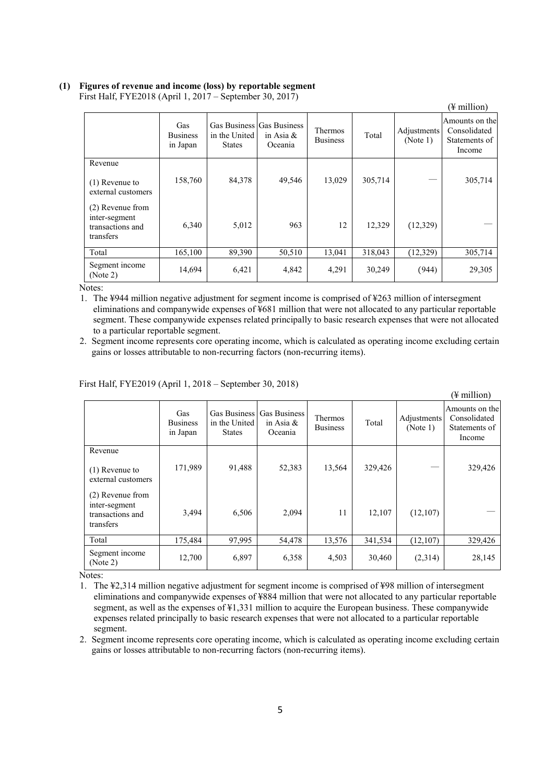## **(1) Figures of revenue and income (loss) by reportable segment**

|                                                                    |                                    |                                |                                                      |                                   |         |                         | (¥ million)                                                |
|--------------------------------------------------------------------|------------------------------------|--------------------------------|------------------------------------------------------|-----------------------------------|---------|-------------------------|------------------------------------------------------------|
|                                                                    | Gas<br><b>Business</b><br>in Japan | in the United<br><b>States</b> | Gas Business Gas Business<br>in Asia $\&$<br>Oceania | <b>Thermos</b><br><b>Business</b> | Total   | Adjustments<br>(Note 1) | Amounts on thel<br>Consolidated<br>Statements of<br>Income |
| Revenue                                                            |                                    |                                |                                                      |                                   |         |                         |                                                            |
| $(1)$ Revenue to<br>external customers                             | 158,760                            | 84,378                         | 49,546                                               | 13,029                            | 305,714 |                         | 305,714                                                    |
| (2) Revenue from<br>inter-segment<br>transactions and<br>transfers | 6,340                              | 5,012                          | 963                                                  | 12                                | 12,329  | (12,329)                |                                                            |
| Total                                                              | 165,100                            | 89,390                         | 50,510                                               | 13,041                            | 318,043 | (12, 329)               | 305,714                                                    |
| Segment income<br>(Note 2)                                         | 14,694                             | 6,421                          | 4,842                                                | 4,291                             | 30,249  | (944)                   | 29,305                                                     |

First Half, FYE2018 (April 1, 2017 – September 30, 2017)

Notes:

1. The ¥944 million negative adjustment for segment income is comprised of ¥263 million of intersegment eliminations and companywide expenses of ¥681 million that were not allocated to any particular reportable segment. These companywide expenses related principally to basic research expenses that were not allocated to a particular reportable segment.

2. Segment income represents core operating income, which is calculated as operating income excluding certain gains or losses attributable to non-recurring factors (non-recurring items).

|                                                                    |                                    |                                                |                                                |                            |         |                         | $(\frac{1}{2}$ million)                                   |
|--------------------------------------------------------------------|------------------------------------|------------------------------------------------|------------------------------------------------|----------------------------|---------|-------------------------|-----------------------------------------------------------|
|                                                                    | Gas<br><b>Business</b><br>in Japan | Gas Business<br>in the United<br><b>States</b> | <b>Gas Business</b><br>in Asia $\&$<br>Oceania | Thermos<br><b>Business</b> | Total   | Adjustments<br>(Note 1) | Amounts on the<br>Consolidated<br>Statements of<br>Income |
| Revenue                                                            |                                    |                                                |                                                |                            |         |                         |                                                           |
| $(1)$ Revenue to<br>external customers                             | 171,989                            | 91,488                                         | 52,383                                         | 13,564                     | 329,426 |                         | 329,426                                                   |
| (2) Revenue from<br>inter-segment<br>transactions and<br>transfers | 3,494                              | 6,506                                          | 2,094                                          | 11                         | 12,107  | (12,107)                |                                                           |
| Total                                                              | 175,484                            | 97,995                                         | 54,478                                         | 13,576                     | 341,534 | (12,107)                | 329,426                                                   |
| Segment income<br>(Note 2)                                         | 12,700                             | 6,897                                          | 6,358                                          | 4,503                      | 30,460  | (2,314)                 | 28,145                                                    |

#### First Half, FYE2019 (April 1, 2018 – September 30, 2018)

Notes:

- 1. The ¥2,314 million negative adjustment for segment income is comprised of ¥98 million of intersegment eliminations and companywide expenses of ¥884 million that were not allocated to any particular reportable segment, as well as the expenses of \#1,331 million to acquire the European business. These companywide expenses related principally to basic research expenses that were not allocated to a particular reportable segment.
- 2. Segment income represents core operating income, which is calculated as operating income excluding certain gains or losses attributable to non-recurring factors (non-recurring items).